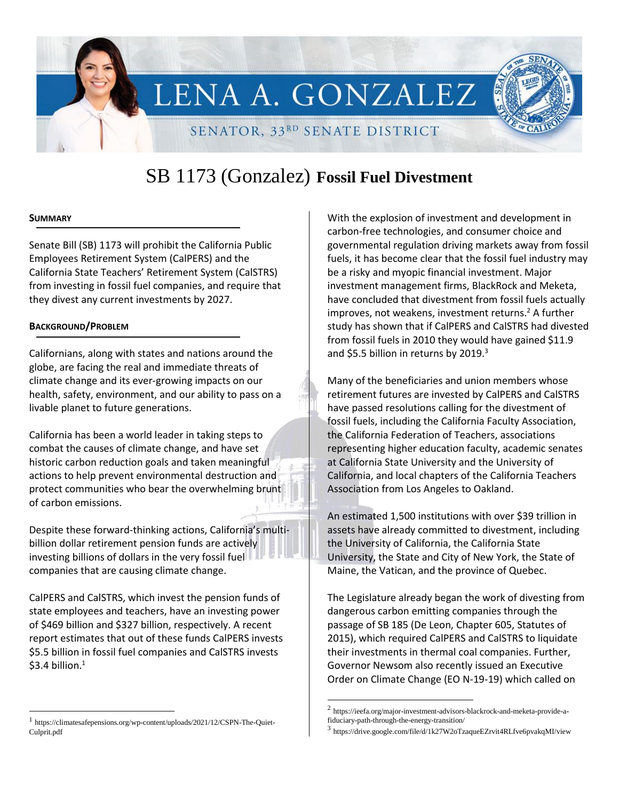

# SB 1173 (Gonzalez) **Fossil Fuel Divestment**

#### **SUMMARY**

l

Senate Bill (SB) 1173 will prohibit the California Public Employees Retirement System (CalPERS) and the California State Teachers' Retirement System (CalSTRS) from investing in fossil fuel companies, and require that they divest any current investments by 2027.

#### **BACKGROUND/PROBLEM**

Californians, along with states and nations around the globe, are facing the real and immediate threats of climate change and its ever-growing impacts on our health, safety, environment, and our ability to pass on a livable planet to future generations.

California has been a world leader in taking steps to combat the causes of climate change, and have set historic carbon reduction goals and taken meaningful actions to help prevent environmental destruction and protect communities who bear the overwhelming brunt of carbon emissions.

Despite these forward-thinking actions, California's multibillion dollar retirement pension funds are actively investing billions of dollars in the very fossil fuel companies that are causing climate change.

CalPERS and CalSTRS, which invest the pension funds of state employees and teachers, have an investing power of \$469 billion and \$327 billion, respectively. A recent report estimates that out of these funds CalPERS invests \$5.5 billion in fossil fuel companies and CalSTRS invests  $$3.4$  billion.<sup>1</sup>

With the explosion of investment and development in carbon-free technologies, and consumer choice and governmental regulation driving markets away from fossil fuels, it has become clear that the fossil fuel industry may be a risky and myopic financial investment. Major investment management firms, BlackRock and Meketa, have concluded that divestment from fossil fuels actually improves, not weakens, investment returns. $2$  A further study has shown that if CalPERS and CalSTRS had divested from fossil fuels in 2010 they would have gained \$11.9 and \$5.5 billion in returns by 2019. $3$ 

Many of the beneficiaries and union members whose retirement futures are invested by CalPERS and CalSTRS have passed resolutions calling for the divestment of fossil fuels, including the California Faculty Association, the California Federation of Teachers, associations representing higher education faculty, academic senates at California State University and the University of California, and local chapters of the California Teachers Association from Los Angeles to Oakland.

An estimated 1,500 institutions with over \$39 trillion in assets have already committed to divestment, including the University of California, the California State University, the State and City of New York, the State of Maine, the Vatican, and the province of Quebec.

The Legislature already began the work of divesting from dangerous carbon emitting companies through the passage of SB 185 (De Leon, Chapter 605, Statutes of 2015), which required CalPERS and CalSTRS to liquidate their investments in thermal coal companies. Further, Governor Newsom also recently issued an Executive Order on Climate Change (EO N-19-19) which called on

 $\overline{a}$ 

<sup>1</sup> https://climatesafepensions.org/wp-content/uploads/2021/12/CSPN-The-Quiet-Culprit.pdf

<sup>2</sup> https://ieefa.org/major-investment-advisors-blackrock-and-meketa-provide-afiduciary-path-through-the-energy-transition/

<sup>3</sup> https://drive.google.com/file/d/1k27W2oTzaqueEZrvit4RLfve6pvakqMI/view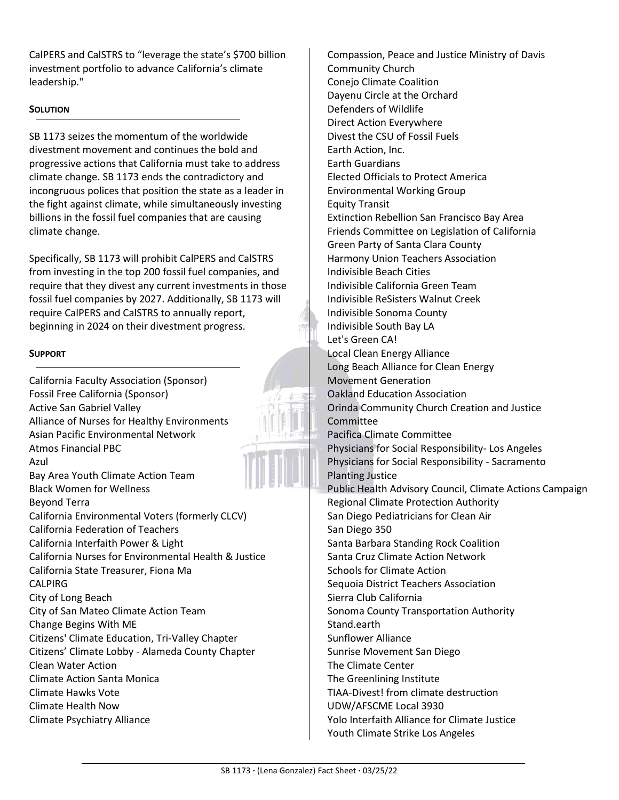CalPERS and CalSTRS to "leverage the state's \$700 billion investment portfolio to advance California's climate leadership."

## **SOLUTION**

SB 1173 seizes the momentum of the worldwide divestment movement and continues the bold and progressive actions that California must take to address climate change. SB 1173 ends the contradictory and incongruous polices that position the state as a leader in the fight against climate, while simultaneously investing billions in the fossil fuel companies that are causing climate change.

Specifically, SB 1173 will prohibit CalPERS and CalSTRS from investing in the top 200 fossil fuel companies, and require that they divest any current investments in those fossil fuel companies by 2027. Additionally, SB 1173 will require CalPERS and CalSTRS to annually report, beginning in 2024 on their divestment progress.

### **SUPPORT**

California Faculty Association (Sponsor) Fossil Free California (Sponsor) Active San Gabriel Valley Alliance of Nurses for Healthy Environments Asian Pacific Environmental Network Atmos Financial PBC Azul Bay Area Youth Climate Action Team Black Women for Wellness Beyond Terra California Environmental Voters (formerly CLCV) California Federation of Teachers California Interfaith Power & Light California Nurses for Environmental Health & Justice California State Treasurer, Fiona Ma CALPIRG City of Long Beach City of San Mateo Climate Action Team Change Begins With ME Citizens' Climate Education, Tri-Valley Chapter Citizens' Climate Lobby - Alameda County Chapter Clean Water Action Climate Action Santa Monica Climate Hawks Vote Climate Health Now Climate Psychiatry Alliance

Compassion, Peace and Justice Ministry of Davis Community Church Conejo Climate Coalition Dayenu Circle at the Orchard Defenders of Wildlife Direct Action Everywhere Divest the CSU of Fossil Fuels Earth Action, Inc. Earth Guardians Elected Officials to Protect America Environmental Working Group Equity Transit Extinction Rebellion San Francisco Bay Area Friends Committee on Legislation of California Green Party of Santa Clara County Harmony Union Teachers Association Indivisible Beach Cities Indivisible California Green Team Indivisible ReSisters Walnut Creek Indivisible Sonoma County Indivisible South Bay LA Let's Green CA! Local Clean Energy Alliance Long Beach Alliance for Clean Energy Movement Generation Oakland Education Association Orinda Community Church Creation and Justice Committee Pacifica Climate Committee Physicians for Social Responsibility- Los Angeles Physicians for Social Responsibility - Sacramento Planting Justice Public Health Advisory Council, Climate Actions Campaign Regional Climate Protection Authority San Diego Pediatricians for Clean Air San Diego 350 Santa Barbara Standing Rock Coalition Santa Cruz Climate Action Network Schools for Climate Action Sequoia District Teachers Association Sierra Club California Sonoma County Transportation Authority Stand.earth Sunflower Alliance Sunrise Movement San Diego The Climate Center The Greenlining Institute TIAA-Divest! from climate destruction UDW/AFSCME Local 3930 Yolo Interfaith Alliance for Climate Justice Youth Climate Strike Los Angeles